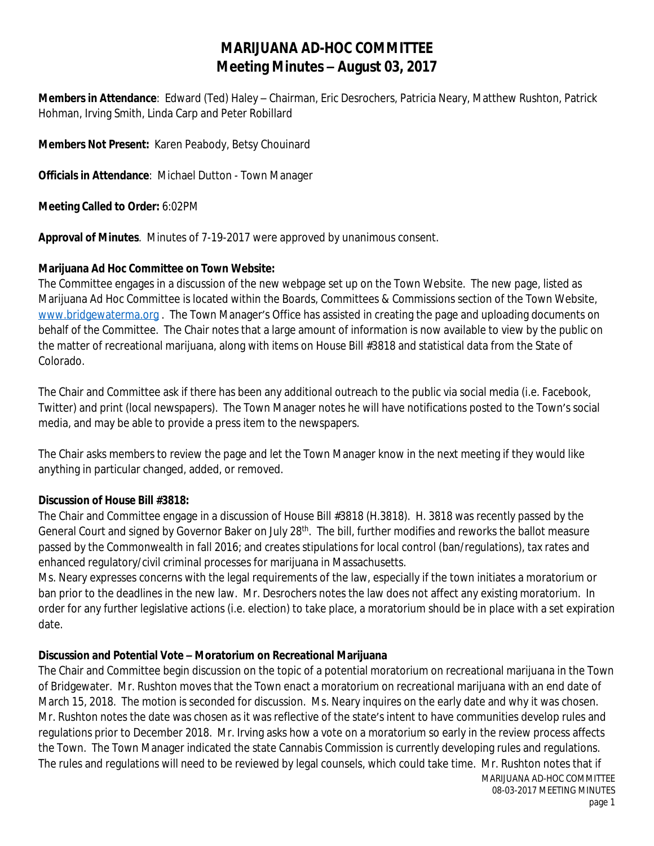# **MARIJUANA AD-HOC COMMITTEE Meeting Minutes – August 03, 2017**

**Members in Attendance**: Edward (Ted) Haley – Chairman, Eric Desrochers, Patricia Neary, Matthew Rushton, Patrick Hohman, Irving Smith, Linda Carp and Peter Robillard

**Members Not Present:** Karen Peabody, Betsy Chouinard

**Officials in Attendance**: Michael Dutton - Town Manager

**Meeting Called to Order:** 6:02PM

**Approval of Minutes**. Minutes of 7-19-2017 were approved by unanimous consent.

#### **Marijuana Ad Hoc Committee on Town Website:**

The Committee engages in a discussion of the new webpage set up on the Town Website. The new page, listed as Marijuana Ad Hoc Committee is located within the Boards, Committees & Commissions section of the Town Website, [www.bridgewaterma.org](http://www.bridgewaterma.org) . The Town Manager's Office has assisted in creating the page and uploading documents on behalf of the Committee. The Chair notes that a large amount of information is now available to view by the public on the matter of recreational marijuana, along with items on House Bill #3818 and statistical data from the State of Colorado.

The Chair and Committee ask if there has been any additional outreach to the public via social media (i.e. Facebook, Twitter) and print (local newspapers). The Town Manager notes he will have notifications posted to the Town's social media, and may be able to provide a press item to the newspapers.

The Chair asks members to review the page and let the Town Manager know in the next meeting if they would like anything in particular changed, added, or removed.

#### **Discussion of House Bill #3818:**

The Chair and Committee engage in a discussion of House Bill #3818 (H.3818). H. 3818 was recently passed by the General Court and signed by Governor Baker on July 28<sup>th</sup>. The bill, further modifies and reworks the ballot measure passed by the Commonwealth in fall 2016; and creates stipulations for local control (ban/regulations), tax rates and enhanced regulatory/civil criminal processes for marijuana in Massachusetts.

Ms. Neary expresses concerns with the legal requirements of the law, especially if the town initiates a moratorium or ban prior to the deadlines in the new law. Mr. Desrochers notes the law does not affect any existing moratorium. In order for any further legislative actions (i.e. election) to take place, a moratorium should be in place with a set expiration date.

## **Discussion and Potential Vote – Moratorium on Recreational Marijuana**

The Chair and Committee begin discussion on the topic of a potential moratorium on recreational marijuana in the Town of Bridgewater. Mr. Rushton moves that the Town enact a moratorium on recreational marijuana with an end date of March 15, 2018. The motion is seconded for discussion. Ms. Neary inquires on the early date and why it was chosen. Mr. Rushton notes the date was chosen as it was reflective of the state's intent to have communities develop rules and regulations prior to December 2018. Mr. Irving asks how a vote on a moratorium so early in the review process affects the Town. The Town Manager indicated the state Cannabis Commission is currently developing rules and regulations. The rules and regulations will need to be reviewed by legal counsels, which could take time. Mr. Rushton notes that if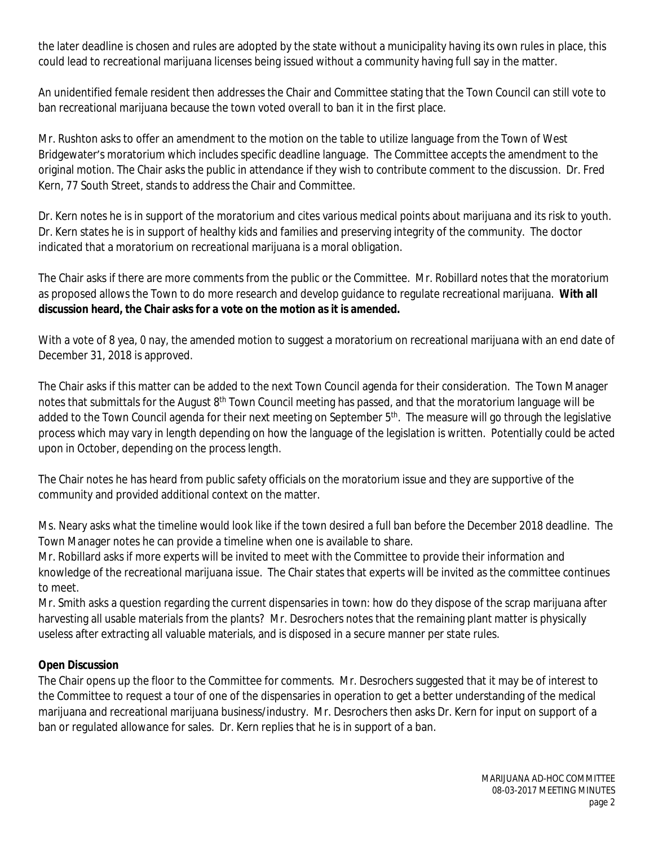the later deadline is chosen and rules are adopted by the state without a municipality having its own rules in place, this could lead to recreational marijuana licenses being issued without a community having full say in the matter.

An unidentified female resident then addresses the Chair and Committee stating that the Town Council can still vote to ban recreational marijuana because the town voted overall to ban it in the first place.

Mr. Rushton asks to offer an amendment to the motion on the table to utilize language from the Town of West Bridgewater's moratorium which includes specific deadline language. The Committee accepts the amendment to the original motion. The Chair asks the public in attendance if they wish to contribute comment to the discussion. Dr. Fred Kern, 77 South Street, stands to address the Chair and Committee.

Dr. Kern notes he is in support of the moratorium and cites various medical points about marijuana and its risk to youth. Dr. Kern states he is in support of healthy kids and families and preserving integrity of the community. The doctor indicated that a moratorium on recreational marijuana is a moral obligation.

The Chair asks if there are more comments from the public or the Committee. Mr. Robillard notes that the moratorium as proposed allows the Town to do more research and develop guidance to regulate recreational marijuana. **With all discussion heard, the Chair asks for a vote on the motion as it is amended.**

With a vote of 8 yea, 0 nay, the amended motion to suggest a moratorium on recreational marijuana with an end date of December 31, 2018 is approved.

The Chair asks if this matter can be added to the next Town Council agenda for their consideration. The Town Manager notes that submittals for the August 8<sup>th</sup> Town Council meeting has passed, and that the moratorium language will be added to the Town Council agenda for their next meeting on September 5<sup>th</sup>. The measure will go through the legislative process which may vary in length depending on how the language of the legislation is written. Potentially could be acted upon in October, depending on the process length.

The Chair notes he has heard from public safety officials on the moratorium issue and they are supportive of the community and provided additional context on the matter.

Ms. Neary asks what the timeline would look like if the town desired a full ban before the December 2018 deadline. The Town Manager notes he can provide a timeline when one is available to share.

Mr. Robillard asks if more experts will be invited to meet with the Committee to provide their information and knowledge of the recreational marijuana issue. The Chair states that experts will be invited as the committee continues to meet.

Mr. Smith asks a question regarding the current dispensaries in town: how do they dispose of the scrap marijuana after harvesting all usable materials from the plants? Mr. Desrochers notes that the remaining plant matter is physically useless after extracting all valuable materials, and is disposed in a secure manner per state rules.

## **Open Discussion**

The Chair opens up the floor to the Committee for comments. Mr. Desrochers suggested that it may be of interest to the Committee to request a tour of one of the dispensaries in operation to get a better understanding of the medical marijuana and recreational marijuana business/industry. Mr. Desrochers then asks Dr. Kern for input on support of a ban or regulated allowance for sales. Dr. Kern replies that he is in support of a ban.